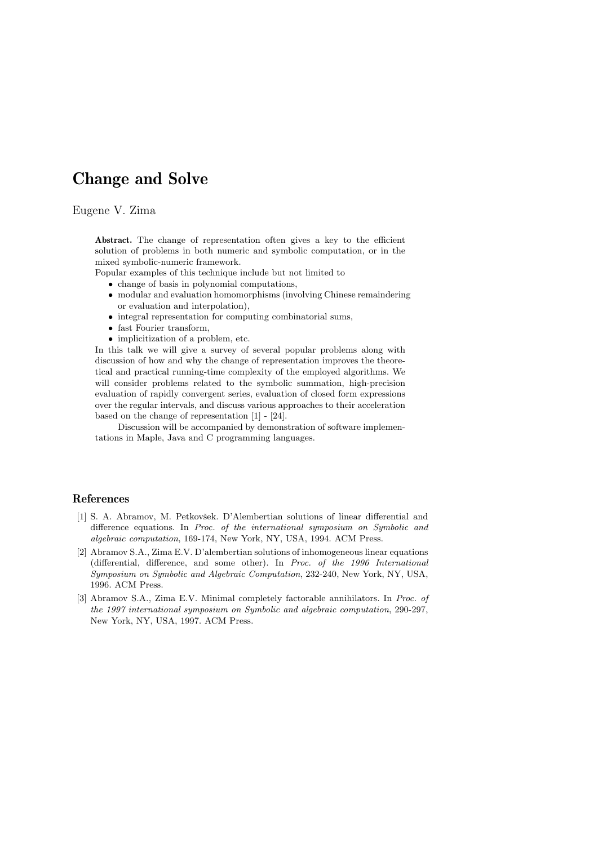## Change and Solve

## Eugene V. Zima

Abstract. The change of representation often gives a key to the efficient solution of problems in both numeric and symbolic computation, or in the mixed symbolic-numeric framework.

Popular examples of this technique include but not limited to

- change of basis in polynomial computations,
- modular and evaluation homomorphisms (involving Chinese remaindering or evaluation and interpolation),
- integral representation for computing combinatorial sums,
- fast Fourier transform,
- implicitization of a problem, etc.

In this talk we will give a survey of several popular problems along with discussion of how and why the change of representation improves the theoretical and practical running-time complexity of the employed algorithms. We will consider problems related to the symbolic summation, high-precision evaluation of rapidly convergent series, evaluation of closed form expressions over the regular intervals, and discuss various approaches to their acceleration based on the change of representation [1] - [24].

Discussion will be accompanied by demonstration of software implementations in Maple, Java and C programming languages.

## References

- [1] S. A. Abramov, M. Petkovšek. D'Alembertian solutions of linear differential and difference equations. In Proc. of the international symposium on Symbolic and algebraic computation, 169-174, New York, NY, USA, 1994. ACM Press.
- [2] Abramov S.A., Zima E.V. D'alembertian solutions of inhomogeneous linear equations (differential, difference, and some other). In Proc. of the 1996 International Symposium on Symbolic and Algebraic Computation, 232-240, New York, NY, USA, 1996. ACM Press.
- [3] Abramov S.A., Zima E.V. Minimal completely factorable annihilators. In Proc. of the 1997 international symposium on Symbolic and algebraic computation, 290-297, New York, NY, USA, 1997. ACM Press.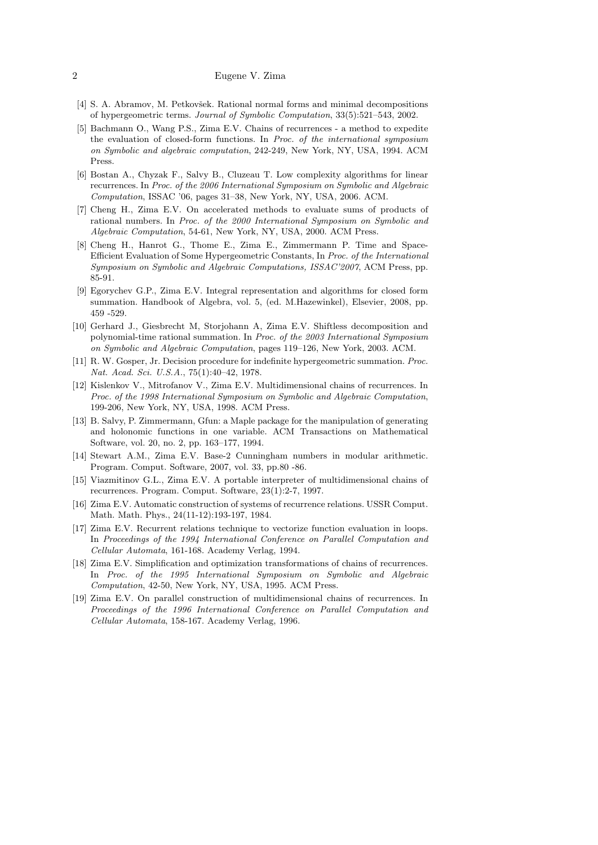## 2 Eugene V. Zima

- [4] S. A. Abramov, M. Petkovšek. Rational normal forms and minimal decompositions of hypergeometric terms. Journal of Symbolic Computation, 33(5):521–543, 2002.
- [5] Bachmann O., Wang P.S., Zima E.V. Chains of recurrences a method to expedite the evaluation of closed-form functions. In Proc. of the international symposium on Symbolic and algebraic computation, 242-249, New York, NY, USA, 1994. ACM Press.
- [6] Bostan A., Chyzak F., Salvy B., Cluzeau T. Low complexity algorithms for linear recurrences. In Proc. of the 2006 International Symposium on Symbolic and Algebraic Computation, ISSAC '06, pages 31–38, New York, NY, USA, 2006. ACM.
- [7] Cheng H., Zima E.V. On accelerated methods to evaluate sums of products of rational numbers. In Proc. of the 2000 International Symposium on Symbolic and Algebraic Computation, 54-61, New York, NY, USA, 2000. ACM Press.
- [8] Cheng H., Hanrot G., Thome E., Zima E., Zimmermann P. Time and Space-Efficient Evaluation of Some Hypergeometric Constants, In Proc. of the International Symposium on Symbolic and Algebraic Computations, ISSAC'2007, ACM Press, pp. 85-91.
- [9] Egorychev G.P., Zima E.V. Integral representation and algorithms for closed form summation. Handbook of Algebra, vol. 5, (ed. M.Hazewinkel), Elsevier, 2008, pp. 459 -529.
- [10] Gerhard J., Giesbrecht M, Storjohann A, Zima E.V. Shiftless decomposition and polynomial-time rational summation. In Proc. of the 2003 International Symposium on Symbolic and Algebraic Computation, pages 119–126, New York, 2003. ACM.
- [11] R. W. Gosper, Jr. Decision procedure for indefinite hypergeometric summation. Proc. Nat. Acad. Sci. U.S.A., 75(1):40–42, 1978.
- [12] Kislenkov V., Mitrofanov V., Zima E.V. Multidimensional chains of recurrences. In Proc. of the 1998 International Symposium on Symbolic and Algebraic Computation, 199-206, New York, NY, USA, 1998. ACM Press.
- [13] B. Salvy, P. Zimmermann, Gfun: a Maple package for the manipulation of generating and holonomic functions in one variable. ACM Transactions on Mathematical Software, vol. 20, no. 2, pp. 163–177, 1994.
- [14] Stewart A.M., Zima E.V. Base-2 Cunningham numbers in modular arithmetic. Program. Comput. Software, 2007, vol. 33, pp.80 -86.
- [15] Viazmitinov G.L., Zima E.V. A portable interpreter of multidimensional chains of recurrences. Program. Comput. Software, 23(1):2-7, 1997.
- [16] Zima E.V. Automatic construction of systems of recurrence relations. USSR Comput. Math. Math. Phys., 24(11-12):193-197, 1984.
- [17] Zima E.V. Recurrent relations technique to vectorize function evaluation in loops. In Proceedings of the 1994 International Conference on Parallel Computation and Cellular Automata, 161-168. Academy Verlag, 1994.
- [18] Zima E.V. Simplification and optimization transformations of chains of recurrences. In Proc. of the 1995 International Symposium on Symbolic and Algebraic Computation, 42-50, New York, NY, USA, 1995. ACM Press.
- [19] Zima E.V. On parallel construction of multidimensional chains of recurrences. In Proceedings of the 1996 International Conference on Parallel Computation and Cellular Automata, 158-167. Academy Verlag, 1996.